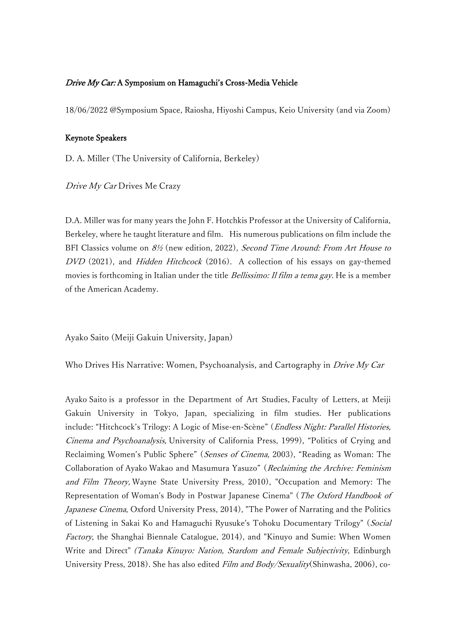## Drive My Car: A Symposium on Hamaguchi's Cross-Media Vehicle

18/06/2022 @Symposium Space, Raiosha, Hiyoshi Campus, Keio University (and via Zoom)

## Keynote Speakers

D. A. Miller (The University of California, Berkeley)

Drive My Car Drives Me Crazy

D.A. Miller was for many years the John F. Hotchkis Professor at the University of California, Berkeley, where he taught literature and film. His numerous publications on film include the BFI Classics volume on  $8\frac{1}{2}$  (new edition, 2022), Second Time Around: From Art House to DVD (2021), and *Hidden Hitchcock* (2016). A collection of his essays on gay-themed movies is forthcoming in Italian under the title *Bellissimo: Il film a tema gay*. He is a member of the American Academy.

Ayako Saito (Meiji Gakuin University, Japan)

Who Drives His Narrative: Women, Psychoanalysis, and Cartography in Drive My Car

Ayako Saito is a professor in the Department of Art Studies, Faculty of Letters, at Meiji Gakuin University in Tokyo, Japan, specializing in film studies. Her publications include: "Hitchcock's Trilogy: A Logic of Mise-en-Scène" (Endless Night: Parallel Histories, Cinema and Psychoanalysis, University of California Press, 1999), "Politics of Crying and Reclaiming Women's Public Sphere" (*Senses of Cinema*, 2003), "Reading as Woman: The Collaboration of Ayako Wakao and Masumura Yasuzo" (Reclaiming the Archive: Feminism and Film Theory, Wayne State University Press, 2010), "Occupation and Memory: The Representation of Woman's Body in Postwar Japanese Cinema" (The Oxford Handbook of Japanese Cinema, Oxford University Press, 2014), "The Power of Narrating and the Politics of Listening in Sakai Ko and Hamaguchi Ryusuke's Tohoku Documentary Trilogy" (Social Factory, the Shanghai Biennale Catalogue, 2014), and "Kinuyo and Sumie: When Women Write and Direct" (Tanaka Kinuyo: Nation, Stardom and Female Subjectivity, Edinburgh University Press, 2018). She has also edited Film and Body/Sexuality(Shinwasha, 2006), co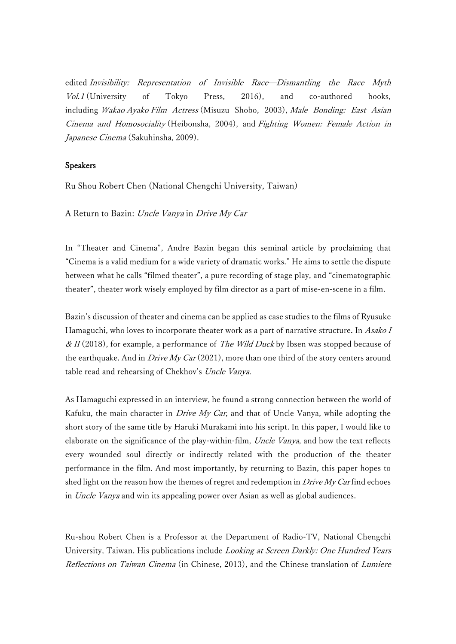edited Invisibility: Representation of Invisible Race—Dismantling the Race Myth Vol.1 (University of Tokyo Press, 2016), and co-authored books, including Wakao Ayako Film Actress (Misuzu Shobo, 2003), Male Bonding: East Asian Cinema and Homosociality (Heibonsha, 2004), and Fighting Women: Female Action in Japanese Cinema (Sakuhinsha, 2009).

## Speakers

Ru Shou Robert Chen (National Chengchi University, Taiwan)

A Return to Bazin: Uncle Vanya in Drive My Car

In "Theater and Cinema", Andre Bazin began this seminal article by proclaiming that "Cinema is a valid medium for a wide variety of dramatic works." He aims to settle the dispute between what he calls "filmed theater", a pure recording of stage play, and "cinematographic theater", theater work wisely employed by film director as a part of mise-en-scene in a film.

Bazin's discussion of theater and cinema can be applied as case studies to the films of Ryusuke Hamaguchi, who loves to incorporate theater work as a part of narrative structure. In Asako I &  $II(2018)$ , for example, a performance of *The Wild Duck* by Ibsen was stopped because of the earthquake. And in *Drive My Car* (2021), more than one third of the story centers around table read and rehearsing of Chekhov's Uncle Vanya.

As Hamaguchi expressed in an interview, he found a strong connection between the world of Kafuku, the main character in *Drive My Car*, and that of Uncle Vanya, while adopting the short story of the same title by Haruki Murakami into his script. In this paper, I would like to elaborate on the significance of the play-within-film, Uncle Vanya, and how the text reflects every wounded soul directly or indirectly related with the production of the theater performance in the film. And most importantly, by returning to Bazin, this paper hopes to shed light on the reason how the themes of regret and redemption in Drive My Carfind echoes in Uncle Vanya and win its appealing power over Asian as well as global audiences.

Ru-shou Robert Chen is a Professor at the Department of Radio-TV, National Chengchi University, Taiwan. His publications include Looking at Screen Darkly: One Hundred Years Reflections on Taiwan Cinema (in Chinese, 2013), and the Chinese translation of Lumiere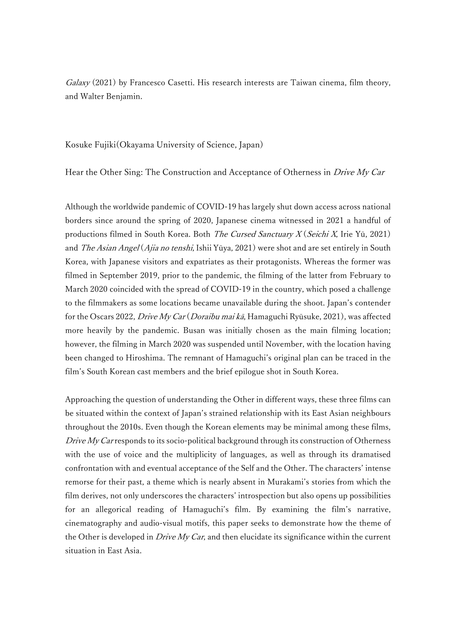Galaxy (2021) by Francesco Casetti. His research interests are Taiwan cinema, film theory, and Walter Benjamin.

Kosuke Fujiki(Okayama University of Science, Japan)

Hear the Other Sing: The Construction and Acceptance of Otherness in Drive My Car

Although the worldwide pandemic of COVID-19 has largely shut down access across national borders since around the spring of 2020, Japanese cinema witnessed in 2021 a handful of productions filmed in South Korea. Both *The Cursed Sanctuary X* (Seichi X, Irie Yū, 2021) and *The Asian Angel* (*Ajia no tenshi*, Ishii Yūya, 2021) were shot and are set entirely in South Korea, with Japanese visitors and expatriates as their protagonists. Whereas the former was filmed in September 2019, prior to the pandemic, the filming of the latter from February to March 2020 coincided with the spread of COVID-19 in the country, which posed a challenge to the filmmakers as some locations became unavailable during the shoot. Japan's contender for the Oscars 2022, Drive My Car (Doraibu mai kā, Hamaguchi Ryūsuke, 2021), was affected more heavily by the pandemic. Busan was initially chosen as the main filming location; however, the filming in March 2020 was suspended until November, with the location having been changed to Hiroshima. The remnant of Hamaguchi's original plan can be traced in the film's South Korean cast members and the brief epilogue shot in South Korea.

Approaching the question of understanding the Other in different ways, these three films can be situated within the context of Japan's strained relationship with its East Asian neighbours throughout the 2010s. Even though the Korean elements may be minimal among these films, Drive  $My$  Car responds to its socio-political background through its construction of Otherness with the use of voice and the multiplicity of languages, as well as through its dramatised confrontation with and eventual acceptance of the Self and the Other. The characters' intense remorse for their past, a theme which is nearly absent in Murakami's stories from which the film derives, not only underscores the characters' introspection but also opens up possibilities for an allegorical reading of Hamaguchi's film. By examining the film's narrative, cinematography and audio-visual motifs, this paper seeks to demonstrate how the theme of the Other is developed in *Drive My Car*, and then elucidate its significance within the current situation in East Asia.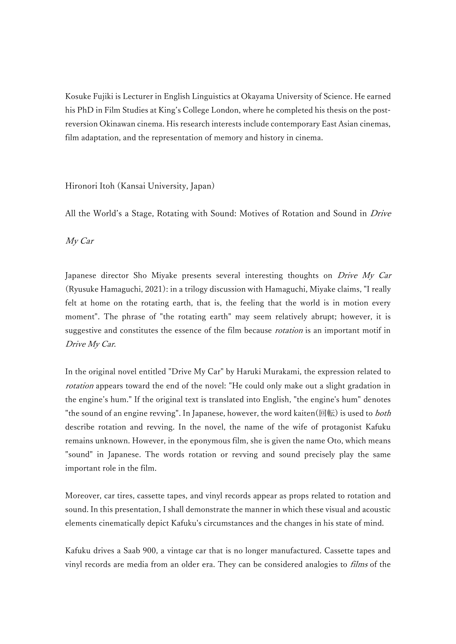Kosuke Fujiki is Lecturer in English Linguistics at Okayama University of Science. He earned his PhD in Film Studies at King's College London, where he completed his thesis on the postreversion Okinawan cinema. His research interests include contemporary East Asian cinemas, film adaptation, and the representation of memory and history in cinema.

# Hironori Itoh (Kansai University, Japan)

All the World's a Stage, Rotating with Sound: Motives of Rotation and Sound in *Drive* 

My Car

Japanese director Sho Miyake presents several interesting thoughts on Drive My Car (Ryusuke Hamaguchi, 2021): in a trilogy discussion with Hamaguchi, Miyake claims, "I really felt at home on the rotating earth, that is, the feeling that the world is in motion every moment". The phrase of "the rotating earth" may seem relatively abrupt; however, it is suggestive and constitutes the essence of the film because *rotation* is an important motif in Drive My Car.

In the original novel entitled "Drive My Car" by Haruki Murakami, the expression related to rotation appears toward the end of the novel: "He could only make out a slight gradation in the engine's hum." If the original text is translated into English, "the engine's hum" denotes "the sound of an engine revving". In Japanese, however, the word kaiten(回転) is used to *both* describe rotation and revving. In the novel, the name of the wife of protagonist Kafuku remains unknown. However, in the eponymous film, she is given the name Oto, which means "sound" in Japanese. The words rotation or revving and sound precisely play the same important role in the film.

Moreover, car tires, cassette tapes, and vinyl records appear as props related to rotation and sound. In this presentation, I shall demonstrate the manner in which these visual and acoustic elements cinematically depict Kafuku's circumstances and the changes in his state of mind.

Kafuku drives a Saab 900, a vintage car that is no longer manufactured. Cassette tapes and vinyl records are media from an older era. They can be considered analogies to *films* of the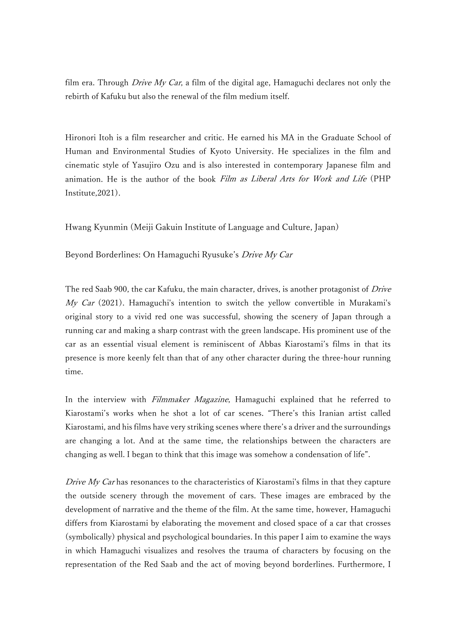film era. Through Drive My Car, a film of the digital age, Hamaguchi declares not only the rebirth of Kafuku but also the renewal of the film medium itself.

Hironori Itoh is a film researcher and critic. He earned his MA in the Graduate School of Human and Environmental Studies of Kyoto University. He specializes in the film and cinematic style of Yasujiro Ozu and is also interested in contemporary Japanese film and animation. He is the author of the book Film as Liberal Arts for Work and Life (PHP Institute,2021).

Hwang Kyunmin (Meiji Gakuin Institute of Language and Culture, Japan)

Beyond Borderlines: On Hamaguchi Ryusuke's Drive My Car

The red Saab 900, the car Kafuku, the main character, drives, is another protagonist of *Drive*  $My$  Car (2021). Hamaguchi's intention to switch the yellow convertible in Murakami's original story to a vivid red one was successful, showing the scenery of Japan through a running car and making a sharp contrast with the green landscape. His prominent use of the car as an essential visual element is reminiscent of Abbas Kiarostami's films in that its presence is more keenly felt than that of any other character during the three-hour running time.

In the interview with Filmmaker Magazine, Hamaguchi explained that he referred to Kiarostami's works when he shot a lot of car scenes. "There's this Iranian artist called Kiarostami, and his films have very striking scenes where there's a driver and the surroundings are changing a lot. And at the same time, the relationships between the characters are changing as well. I began to think that this image was somehow a condensation of life".

Drive My Car has resonances to the characteristics of Kiarostami's films in that they capture the outside scenery through the movement of cars. These images are embraced by the development of narrative and the theme of the film. At the same time, however, Hamaguchi differs from Kiarostami by elaborating the movement and closed space of a car that crosses (symbolically) physical and psychological boundaries. In this paper I aim to examine the ways in which Hamaguchi visualizes and resolves the trauma of characters by focusing on the representation of the Red Saab and the act of moving beyond borderlines. Furthermore, I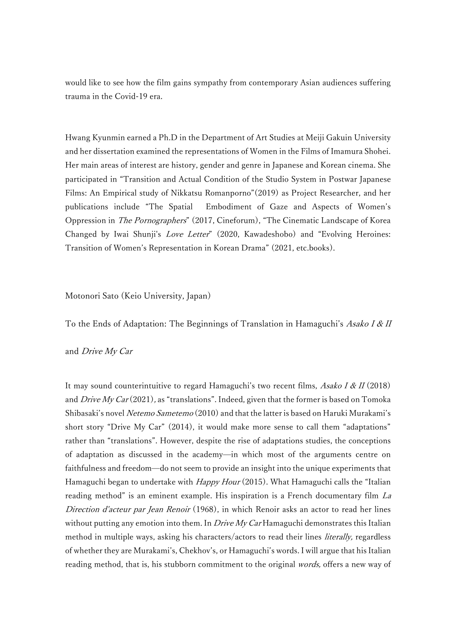would like to see how the film gains sympathy from contemporary Asian audiences suffering trauma in the Covid-19 era.

Hwang Kyunmin earned a Ph.D in the Department of Art Studies at Meiji Gakuin University and her dissertation examined the representations of Women in the Films of Imamura Shohei. Her main areas of interest are history, gender and genre in Japanese and Korean cinema. She participated in "Transition and Actual Condition of the Studio System in Postwar Japanese Films: An Empirical study of Nikkatsu Romanporno"(2019) as Project Researcher, and her publications include "The Spatial Embodiment of Gaze and Aspects of Women's Oppression in The Pornographers" (2017, Cineforum), "The Cinematic Landscape of Korea Changed by Iwai Shunii's *Love Letter*" (2020, Kawadeshobo) and "Evolving Heroines: Transition of Women's Representation in Korean Drama" (2021, etc.books).

Motonori Sato (Keio University, Japan)

To the Ends of Adaptation: The Beginnings of Translation in Hamaguchi's Asako I & II

and Drive My Car

It may sound counterintuitive to regard Hamaguchi's two recent films, Asako I & II (2018) and Drive My Car  $(2021)$ , as "translations". Indeed, given that the former is based on Tomoka Shibasaki's novel Netemo Sametemo (2010) and that the latter is based on Haruki Murakami's short story "Drive My Car" (2014), it would make more sense to call them "adaptations" rather than "translations". However, despite the rise of adaptations studies, the conceptions of adaptation as discussed in the academy—in which most of the arguments centre on faithfulness and freedom—do not seem to provide an insight into the unique experiments that Hamaguchi began to undertake with *Happy Hour* (2015). What Hamaguchi calls the "Italian reading method" is an eminent example. His inspiration is a French documentary film La Direction d'acteur par Jean Renoir (1968), in which Renoir asks an actor to read her lines without putting any emotion into them. In *Drive My Car* Hamaguchi demonstrates this Italian method in multiple ways, asking his characters/actors to read their lines *literally*, regardless of whether they are Murakami's, Chekhov's, or Hamaguchi's words. I will argue that his Italian reading method, that is, his stubborn commitment to the original *words*, offers a new way of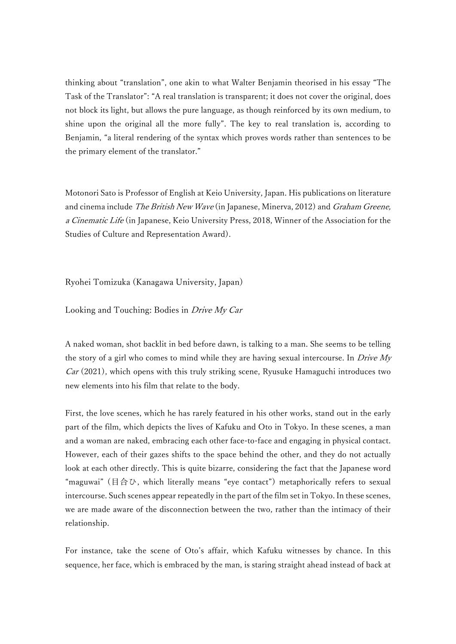thinking about "translation", one akin to what Walter Benjamin theorised in his essay "The Task of the Translator": "A real translation is transparent; it does not cover the original, does not block its light, but allows the pure language, as though reinforced by its own medium, to shine upon the original all the more fully". The key to real translation is, according to Benjamin, "a literal rendering of the syntax which proves words rather than sentences to be the primary element of the translator."

Motonori Sato is Professor of English at Keio University, Japan. His publications on literature and cinema include *The British New Wave* (in Japanese, Minerva, 2012) and *Graham Greene*, a Cinematic Life (in Japanese, Keio University Press, 2018, Winner of the Association for the Studies of Culture and Representation Award).

Ryohei Tomizuka (Kanagawa University, Japan)

Looking and Touching: Bodies in Drive My Car

A naked woman, shot backlit in bed before dawn, is talking to a man. She seems to be telling the story of a girl who comes to mind while they are having sexual intercourse. In *Drive My*  $Car (2021)$ , which opens with this truly striking scene, Ryusuke Hamaguchi introduces two new elements into his film that relate to the body.

First, the love scenes, which he has rarely featured in his other works, stand out in the early part of the film, which depicts the lives of Kafuku and Oto in Tokyo. In these scenes, a man and a woman are naked, embracing each other face-to-face and engaging in physical contact. However, each of their gazes shifts to the space behind the other, and they do not actually look at each other directly. This is quite bizarre, considering the fact that the Japanese word "maguwai" (目合ひ, which literally means "eye contact") metaphorically refers to sexual intercourse. Such scenes appear repeatedly in the part of the film set in Tokyo. In these scenes, we are made aware of the disconnection between the two, rather than the intimacy of their relationship.

For instance, take the scene of Oto's affair, which Kafuku witnesses by chance. In this sequence, her face, which is embraced by the man, is staring straight ahead instead of back at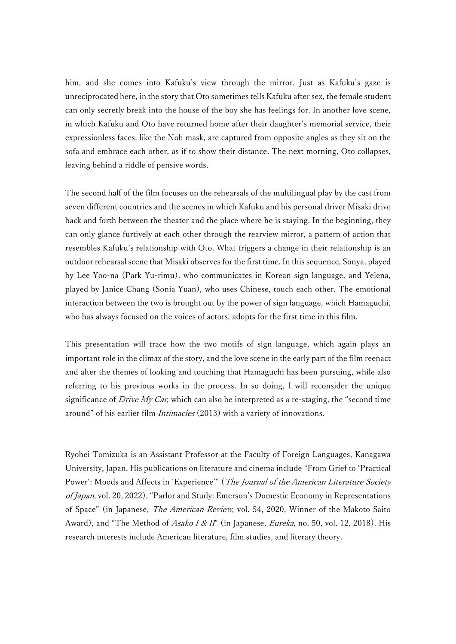him, and she comes into Kafuku's view through the mirror. Just as Kafuku's gaze is unreciprocated here, in the story that Oto sometimes tells Kafuku after sex, the female student can only secretly break into the house of the boy she has feelings for. In another love scene, in which Kafuku and Oto have returned home after their daughter's memorial service, their expressionless faces, like the Noh mask, are captured from opposite angles as they sit on the sofa and embrace each other, as if to show their distance. The next morning, Oto collapses, leaving behind a riddle of pensive words.

The second half of the film focuses on the rehearsals of the multilingual play by the cast from seven different countries and the scenes in which Kafuku and his personal driver Misaki drive back and forth between the theater and the place where he is staying. In the beginning, they can only glance furtively at each other through the rearview mirror, a pattern of action that resembles Kafuku's relationship with Oto. What triggers a change in their relationship is an outdoor rehearsal scene that Misaki observes for the first time. In this sequence, Sonya, played by Lee Yoo-na (Park Yu-rimu), who communicates in Korean sign language, and Yelena, played by Janice Chang (Sonia Yuan), who uses Chinese, touch each other. The emotional interaction between the two is brought out by the power of sign language, which Hamaguchi, who has always focused on the voices of actors, adopts for the first time in this film.

This presentation will trace how the two motifs of sign language, which again plays an important role in the climax of the story, and the love scene in the early part of the film reenact and alter the themes of looking and touching that Hamaguchi has been pursuing, while also referring to his previous works in the process. In so doing, I will reconsider the unique significance of Drive My Car, which can also be interpreted as a re-staging, the "second time around" of his earlier film Intimacies (2013) with a variety of innovations.

Ryohei Tomizuka is an Assistant Professor at the Faculty of Foreign Languages, Kanagawa University, Japan. His publications on literature and cinema include "From Grief to 'Practical Power': Moods and Affects in 'Experience'" (The Journal of the American Literature Society of Japan, vol. 20, 2022), "Parlor and Study: Emerson's Domestic Economy in Representations of Space" (in Japanese, The American Review, vol. 54, 2020, Winner of the Makoto Saito Award), and "The Method of Asako I & II" (in Japanese, *Eureka*, no. 50, vol. 12, 2018). His research interests include American literature, film studies, and literary theory.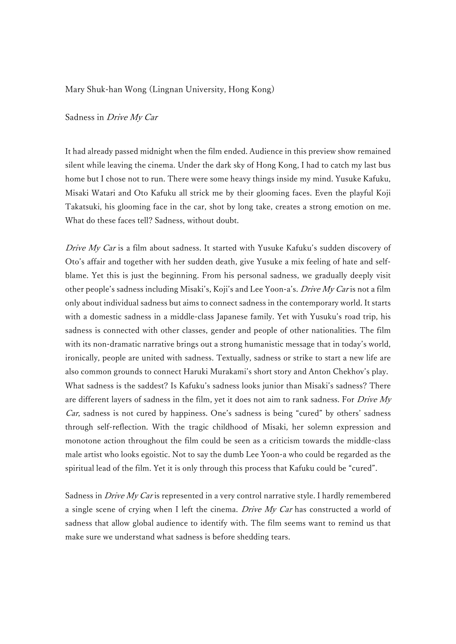### Mary Shuk-han Wong (Lingnan University, Hong Kong)

#### Sadness in Drive My Car

It had already passed midnight when the film ended. Audience in this preview show remained silent while leaving the cinema. Under the dark sky of Hong Kong, I had to catch my last bus home but I chose not to run. There were some heavy things inside my mind. Yusuke Kafuku, Misaki Watari and Oto Kafuku all strick me by their glooming faces. Even the playful Koji Takatsuki, his glooming face in the car, shot by long take, creates a strong emotion on me. What do these faces tell? Sadness, without doubt.

Drive My Car is a film about sadness. It started with Yusuke Kafuku's sudden discovery of Oto's affair and together with her sudden death, give Yusuke a mix feeling of hate and selfblame. Yet this is just the beginning. From his personal sadness, we gradually deeply visit other people's sadness including Misaki's, Koji's and Lee Yoon-a's. *Drive My Car* is not a film only about individual sadness but aims to connect sadness in the contemporary world. It starts with a domestic sadness in a middle-class Japanese family. Yet with Yusuku's road trip, his sadness is connected with other classes, gender and people of other nationalities. The film with its non-dramatic narrative brings out a strong humanistic message that in today's world, ironically, people are united with sadness. Textually, sadness or strike to start a new life are also common grounds to connect Haruki Murakami's short story and Anton Chekhov's play. What sadness is the saddest? Is Kafuku's sadness looks junior than Misaki's sadness? There are different layers of sadness in the film, yet it does not aim to rank sadness. For Drive My Car, sadness is not cured by happiness. One's sadness is being "cured" by others' sadness through self-reflection. With the tragic childhood of Misaki, her solemn expression and monotone action throughout the film could be seen as a criticism towards the middle-class male artist who looks egoistic. Not to say the dumb Lee Yoon-a who could be regarded as the spiritual lead of the film. Yet it is only through this process that Kafuku could be "cured".

Sadness in *Drive My Car* is represented in a very control narrative style. I hardly remembered a single scene of crying when I left the cinema. Drive My Car has constructed a world of sadness that allow global audience to identify with. The film seems want to remind us that make sure we understand what sadness is before shedding tears.